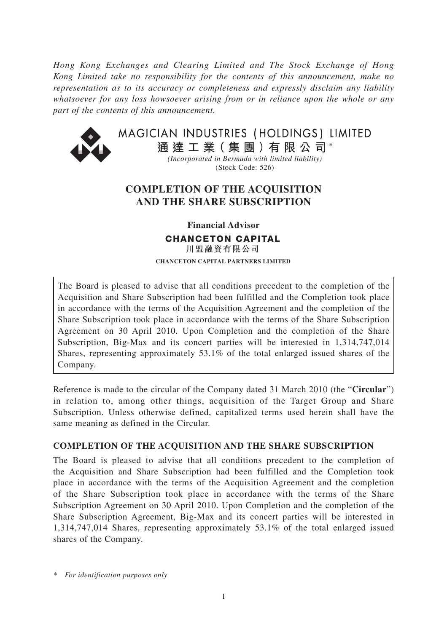*Hong Kong Exchanges and Clearing Limited and The Stock Exchange of Hong Kong Limited take no responsibility for the contents of this announcement, make no representation as to its accuracy or completeness and expressly disclaim any liability whatsoever for any loss howsoever arising from or in reliance upon the whole or any part of the contents of this announcement.*



MAGICIAN INDUSTRIES (HOLDINGS) LIMITED **通 達 工 業( 集 團 )有 限 公 司 \***

> *(Incorporated in Bermuda with limited liability)* (Stock Code: 526)

## **COMPLETION OF THE ACQUISITION AND THE SHARE SUBSCRIPTION**

**Financial Advisor**

**CHANCETON CAPITAL**

川盟融資有限公司 **CHANCETON CAPITAL PARTNERS LIMITED**

The Board is pleased to advise that all conditions precedent to the completion of the Acquisition and Share Subscription had been fulfilled and the Completion took place in accordance with the terms of the Acquisition Agreement and the completion of the Share Subscription took place in accordance with the terms of the Share Subscription Agreement on 30 April 2010. Upon Completion and the completion of the Share Subscription, Big-Max and its concert parties will be interested in 1,314,747,014 Shares, representing approximately 53.1% of the total enlarged issued shares of the Company.

Reference is made to the circular of the Company dated 31 March 2010 (the "**Circular**") in relation to, among other things, acquisition of the Target Group and Share Subscription. Unless otherwise defined, capitalized terms used herein shall have the same meaning as defined in the Circular.

## **COMPLETION OF THE ACQUISITION AND THE SHARE SUBSCRIPTION**

The Board is pleased to advise that all conditions precedent to the completion of the Acquisition and Share Subscription had been fulfilled and the Completion took place in accordance with the terms of the Acquisition Agreement and the completion of the Share Subscription took place in accordance with the terms of the Share Subscription Agreement on 30 April 2010. Upon Completion and the completion of the Share Subscription Agreement, Big-Max and its concert parties will be interested in 1,314,747,014 Shares, representing approximately 53.1% of the total enlarged issued shares of the Company.

*\* For identification purposes only*